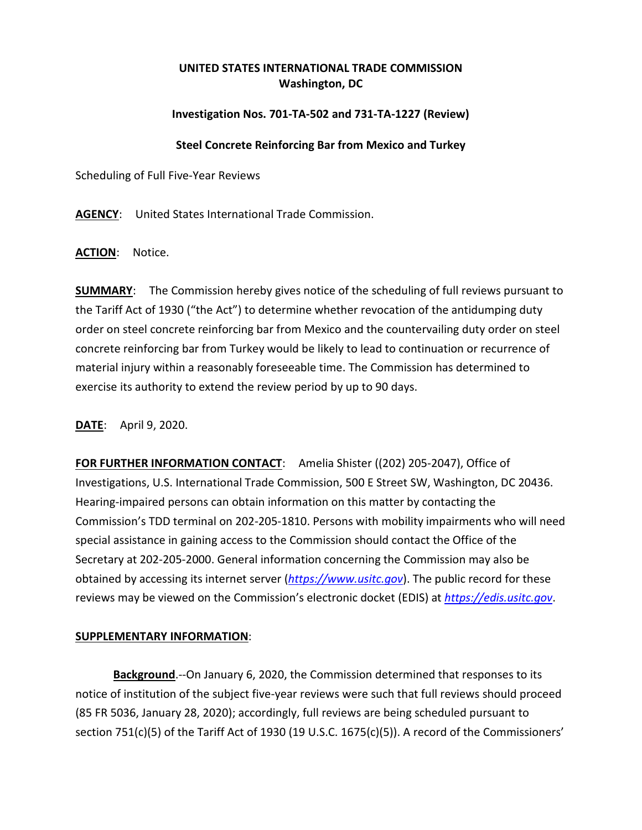## **UNITED STATES INTERNATIONAL TRADE COMMISSION Washington, DC**

## **Investigation Nos. 701-TA-502 and 731-TA-1227 (Review)**

## **Steel Concrete Reinforcing Bar from Mexico and Turkey**

Scheduling of Full Five-Year Reviews

**AGENCY**: United States International Trade Commission.

**ACTION**: Notice.

**SUMMARY**: The Commission hereby gives notice of the scheduling of full reviews pursuant to the Tariff Act of 1930 ("the Act") to determine whether revocation of the antidumping duty order on steel concrete reinforcing bar from Mexico and the countervailing duty order on steel concrete reinforcing bar from Turkey would be likely to lead to continuation or recurrence of material injury within a reasonably foreseeable time. The Commission has determined to exercise its authority to extend the review period by up to 90 days.

**DATE**: April 9, 2020.

**FOR FURTHER INFORMATION CONTACT**: Amelia Shister ((202) 205-2047), Office of Investigations, U.S. International Trade Commission, 500 E Street SW, Washington, DC 20436. Hearing-impaired persons can obtain information on this matter by contacting the Commission's TDD terminal on 202-205-1810. Persons with mobility impairments who will need special assistance in gaining access to the Commission should contact the Office of the Secretary at 202-205-2000. General information concerning the Commission may also be obtained by accessing its internet server (*[https://www.usitc.gov](https://www.usitc.gov/)*). The public record for these reviews may be viewed on the Commission's electronic docket (EDIS) at *[https://edis.usitc.gov](https://edis.usitc.gov/)*.

## **SUPPLEMENTARY INFORMATION**:

**Background**.--On January 6, 2020, the Commission determined that responses to its notice of institution of the subject five-year reviews were such that full reviews should proceed (85 FR 5036, January 28, 2020); accordingly, full reviews are being scheduled pursuant to section 751(c)(5) of the Tariff Act of 1930 (19 U.S.C. 1675(c)(5)). A record of the Commissioners'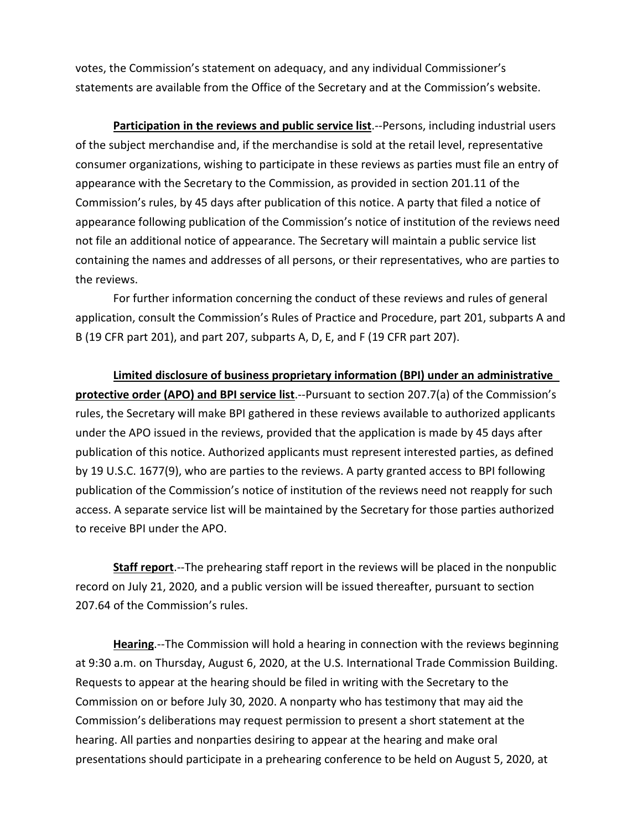votes, the Commission's statement on adequacy, and any individual Commissioner's statements are available from the Office of the Secretary and at the Commission's website.

**Participation in the reviews and public service list**.--Persons, including industrial users of the subject merchandise and, if the merchandise is sold at the retail level, representative consumer organizations, wishing to participate in these reviews as parties must file an entry of appearance with the Secretary to the Commission, as provided in section 201.11 of the Commission's rules, by 45 days after publication of this notice. A party that filed a notice of appearance following publication of the Commission's notice of institution of the reviews need not file an additional notice of appearance. The Secretary will maintain a public service list containing the names and addresses of all persons, or their representatives, who are parties to the reviews.

For further information concerning the conduct of these reviews and rules of general application, consult the Commission's Rules of Practice and Procedure, part 201, subparts A and B (19 CFR part 201), and part 207, subparts A, D, E, and F (19 CFR part 207).

**Limited disclosure of business proprietary information (BPI) under an administrative protective order (APO) and BPI service list**.--Pursuant to section 207.7(a) of the Commission's rules, the Secretary will make BPI gathered in these reviews available to authorized applicants under the APO issued in the reviews, provided that the application is made by 45 days after publication of this notice. Authorized applicants must represent interested parties, as defined by 19 U.S.C. 1677(9), who are parties to the reviews. A party granted access to BPI following publication of the Commission's notice of institution of the reviews need not reapply for such access. A separate service list will be maintained by the Secretary for those parties authorized to receive BPI under the APO.

**Staff report**.--The prehearing staff report in the reviews will be placed in the nonpublic record on July 21, 2020, and a public version will be issued thereafter, pursuant to section 207.64 of the Commission's rules.

**Hearing**.--The Commission will hold a hearing in connection with the reviews beginning at 9:30 a.m. on Thursday, August 6, 2020, at the U.S. International Trade Commission Building. Requests to appear at the hearing should be filed in writing with the Secretary to the Commission on or before July 30, 2020. A nonparty who has testimony that may aid the Commission's deliberations may request permission to present a short statement at the hearing. All parties and nonparties desiring to appear at the hearing and make oral presentations should participate in a prehearing conference to be held on August 5, 2020, at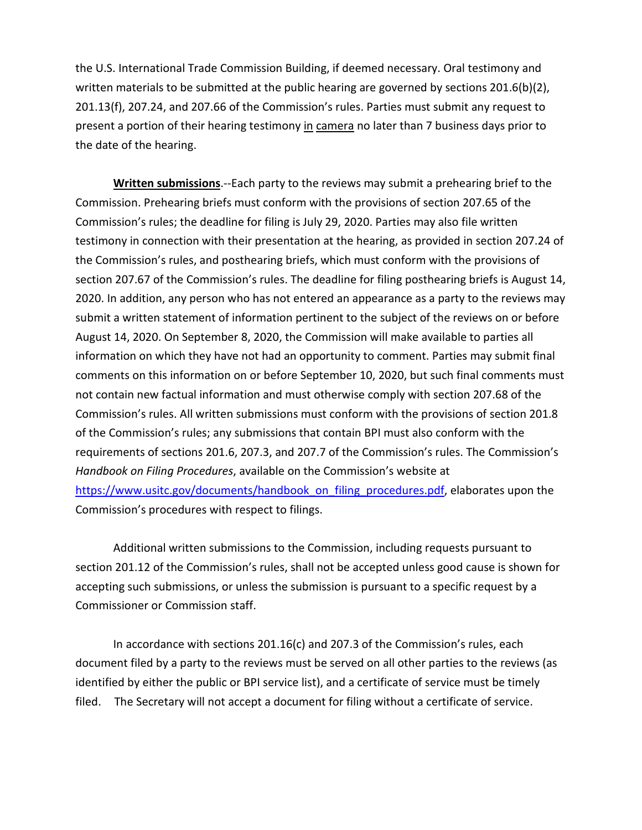the U.S. International Trade Commission Building, if deemed necessary. Oral testimony and written materials to be submitted at the public hearing are governed by sections  $201.6(b)(2)$ , 201.13(f), 207.24, and 207.66 of the Commission's rules. Parties must submit any request to present a portion of their hearing testimony in camera no later than 7 business days prior to the date of the hearing.

**Written submissions**.--Each party to the reviews may submit a prehearing brief to the Commission. Prehearing briefs must conform with the provisions of section 207.65 of the Commission's rules; the deadline for filing is July 29, 2020. Parties may also file written testimony in connection with their presentation at the hearing, as provided in section 207.24 of the Commission's rules, and posthearing briefs, which must conform with the provisions of section 207.67 of the Commission's rules. The deadline for filing posthearing briefs is August 14, 2020. In addition, any person who has not entered an appearance as a party to the reviews may submit a written statement of information pertinent to the subject of the reviews on or before August 14, 2020. On September 8, 2020, the Commission will make available to parties all information on which they have not had an opportunity to comment. Parties may submit final comments on this information on or before September 10, 2020, but such final comments must not contain new factual information and must otherwise comply with section 207.68 of the Commission's rules. All written submissions must conform with the provisions of section 201.8 of the Commission's rules; any submissions that contain BPI must also conform with the requirements of sections 201.6, 207.3, and 207.7 of the Commission's rules. The Commission's *Handbook on Filing Procedures*, available on the Commission's website at [https://www.usitc.gov/documents/handbook\\_on\\_filing\\_procedures.pdf,](https://www.usitc.gov/documents/handbook_on_filing_procedures.pdf) elaborates upon the Commission's procedures with respect to filings.

Additional written submissions to the Commission, including requests pursuant to section 201.12 of the Commission's rules, shall not be accepted unless good cause is shown for accepting such submissions, or unless the submission is pursuant to a specific request by a Commissioner or Commission staff.

In accordance with sections 201.16(c) and 207.3 of the Commission's rules, each document filed by a party to the reviews must be served on all other parties to the reviews (as identified by either the public or BPI service list), and a certificate of service must be timely filed. The Secretary will not accept a document for filing without a certificate of service.